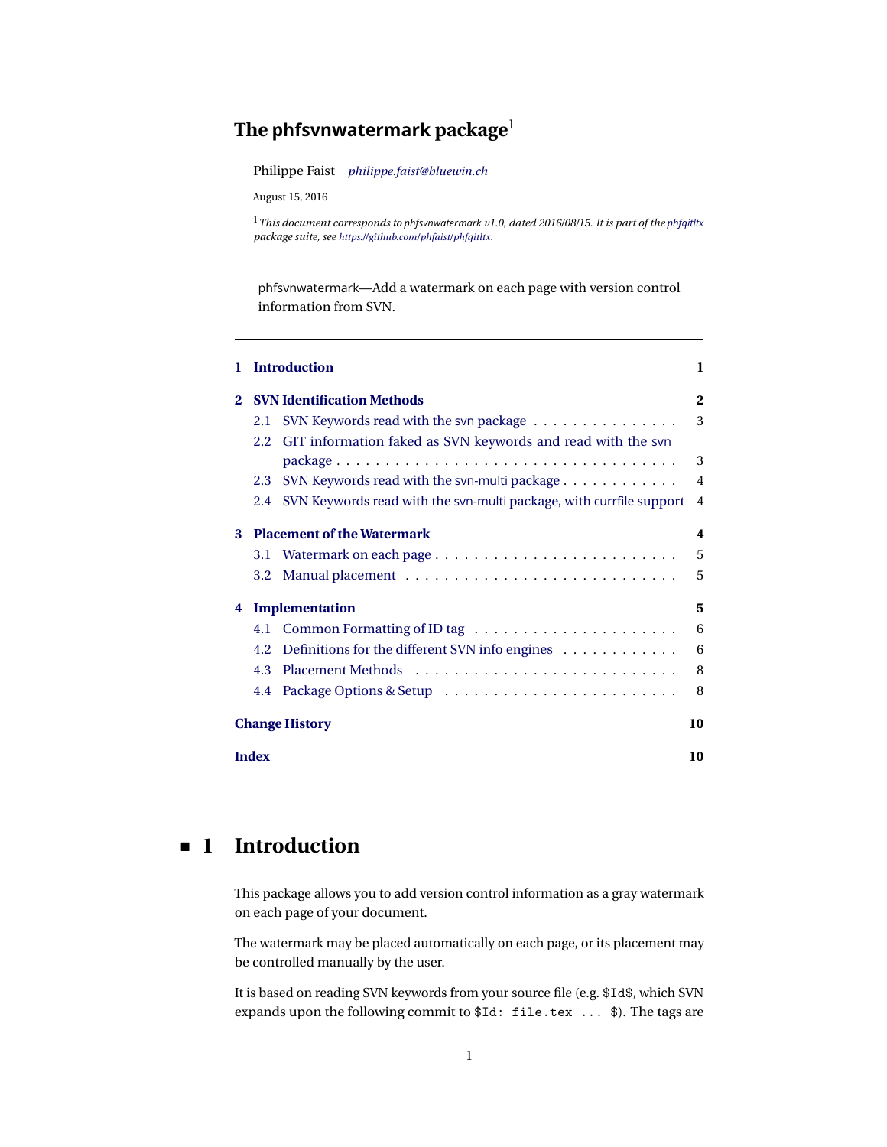# <span id="page-0-1"></span>**The phfsvnwatermark package**<sup>1</sup>

Philippe Faist *[philippe.faist@bluewin.ch](mailto:philippe.faist@bluewin.ch)*

August 15, 2016

phfsvnwatermark—Add a watermark on each page with version control information from SVN.

| 1.                                     |                    | <b>Introduction</b>                                                 | 1              |
|----------------------------------------|--------------------|---------------------------------------------------------------------|----------------|
| $\mathbf{2}$                           |                    | <b>SVN Identification Methods</b>                                   | $\mathbf{2}$   |
|                                        | 2.1                | SVN Keywords read with the svn package                              | 3              |
|                                        | 2.2                | GIT information faked as SVN keywords and read with the svn         |                |
|                                        |                    |                                                                     | 3              |
|                                        | 2.3                | SVN Keywords read with the svn-multi package                        | $\overline{4}$ |
|                                        | 2.4                | SVN Keywords read with the svn-multi package, with currfile support | $\overline{4}$ |
| <b>Placement of the Watermark</b><br>3 |                    |                                                                     | 4              |
|                                        |                    |                                                                     | 5              |
|                                        | 3.2                |                                                                     | 5              |
| Implementation<br>4                    |                    |                                                                     | 5              |
|                                        | 4.1                |                                                                     | 6              |
|                                        | 4.2                | Definitions for the different SVN info engines                      | 6              |
|                                        | 4.3                |                                                                     | 8              |
|                                        | 4.4                |                                                                     | 8              |
|                                        |                    | <b>Change History</b>                                               | 10             |
|                                        | <b>Index</b><br>10 |                                                                     |                |

# <span id="page-0-0"></span>**1 Introduction**

This package allows you to add version control information as a gray watermark on each page of your document.

The watermark may be placed automatically on each page, or its placement may be controlled manually by the user.

It is based on reading SVN keywords from your source file (e.g. \$Id\$, which SVN expands upon the following commit to \$Id: file.tex ... \$). The tags are

<sup>1</sup>*This document corresponds to phfsvnwatermark v1.0, dated 2016/08/15. It is part of the [phfqitltx](https://github.com/phfaist/phfqitltx/) package suite, see <https://github.com/phfaist/phfqitltx>.*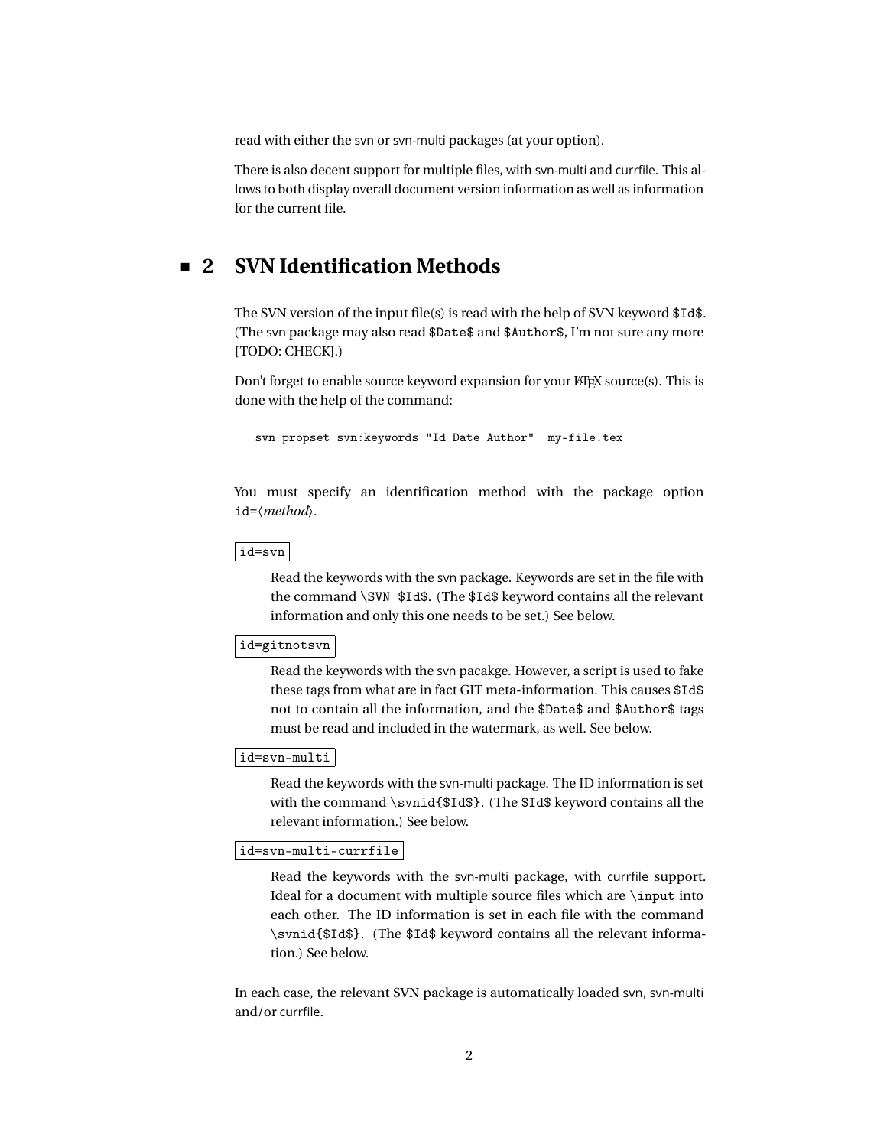<span id="page-1-1"></span>read with either the svn or svn-multi packages (at your option).

There is also decent support for multiple files, with svn-multi and currfile. This allows to both display overall document version information as well as information for the current file.

## <span id="page-1-0"></span>**2 SVN Identification Methods**

The SVN version of the input file(s) is read with the help of SVN keyword \$Id\$. (The svn package may also read \$Date\$ and \$Author\$, I'm not sure any more [TODO: CHECK].)

Don't forget to enable source keyword expansion for your  $\operatorname{\mathbb{K}F}$  source(s). This is done with the help of the command:

svn propset svn:keywords "Id Date Author" my-file.tex

You must specify an identification method with the package option id=〈*method*〉.

#### id=svn

Read the keywords with the svn package. Keywords are set in the file with the command \SVN \$Id\$. (The \$Id\$ keyword contains all the relevant information and only this one needs to be set.) See below.

#### id=gitnotsvn

Read the keywords with the svn pacakge. However, a script is used to fake these tags from what are in fact GIT meta-information. This causes \$Id\$ not to contain all the information, and the \$Date\$ and \$Author\$ tags must be read and included in the watermark, as well. See below.

#### id=svn-multi

Read the keywords with the svn-multi package. The ID information is set with the command \svnid{\$Id\$}. (The \$Id\$ keyword contains all the relevant information.) See below.

#### id=svn-multi-currfile

Read the keywords with the svn-multi package, with currfile support. Ideal for a document with multiple source files which are \input into each other. The ID information is set in each file with the command \svnid{\$Id\$}. (The \$Id\$ keyword contains all the relevant information.) See below.

In each case, the relevant SVN package is automatically loaded svn, svn-multi and/or currfile.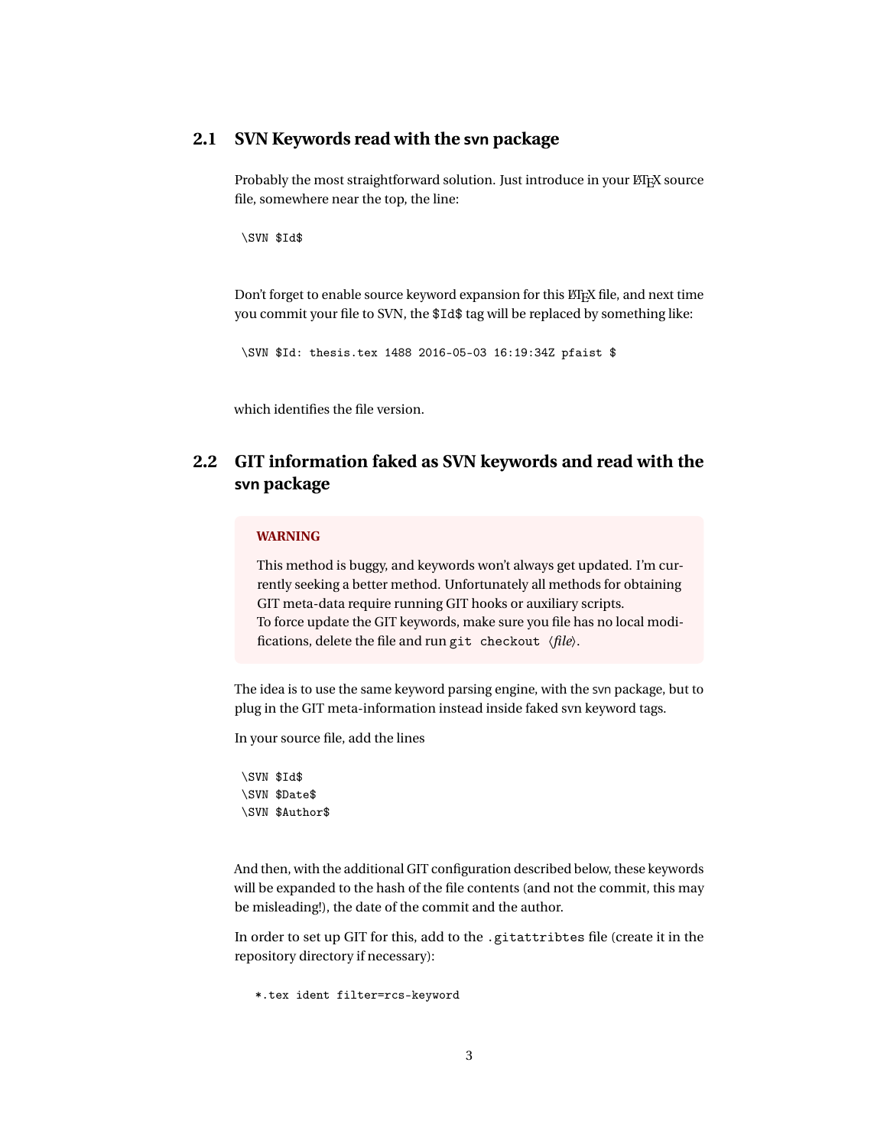### <span id="page-2-2"></span><span id="page-2-0"></span>**2.1 SVN Keywords read with the svn package**

Probably the most straightforward solution. Just introduce in your ETEX source file, somewhere near the top, the line:

\SVN \$Id\$

Don't forget to enable source keyword expansion for this LATEX file, and next time you commit your file to SVN, the \$Id\$ tag will be replaced by something like:

\SVN \$Id: thesis.tex 1488 2016-05-03 16:19:34Z pfaist \$

<span id="page-2-1"></span>which identifies the file version.

## **2.2 GIT information faked as SVN keywords and read with the svn package**

#### **WARNING**

This method is buggy, and keywords won't always get updated. I'm currently seeking a better method. Unfortunately all methods for obtaining GIT meta-data require running GIT hooks or auxiliary scripts. To force update the GIT keywords, make sure you file has no local modifications, delete the file and run git checkout 〈*file*〉.

The idea is to use the same keyword parsing engine, with the svn package, but to plug in the GIT meta-information instead inside faked svn keyword tags.

In your source file, add the lines

\SVN \$Id\$ \SVN \$Date\$ \SVN \$Author\$

And then, with the additional GIT configuration described below, these keywords will be expanded to the hash of the file contents (and not the commit, this may be misleading!), the date of the commit and the author.

In order to set up GIT for this, add to the .gitattribtes file (create it in the repository directory if necessary):

\*.tex ident filter=rcs-keyword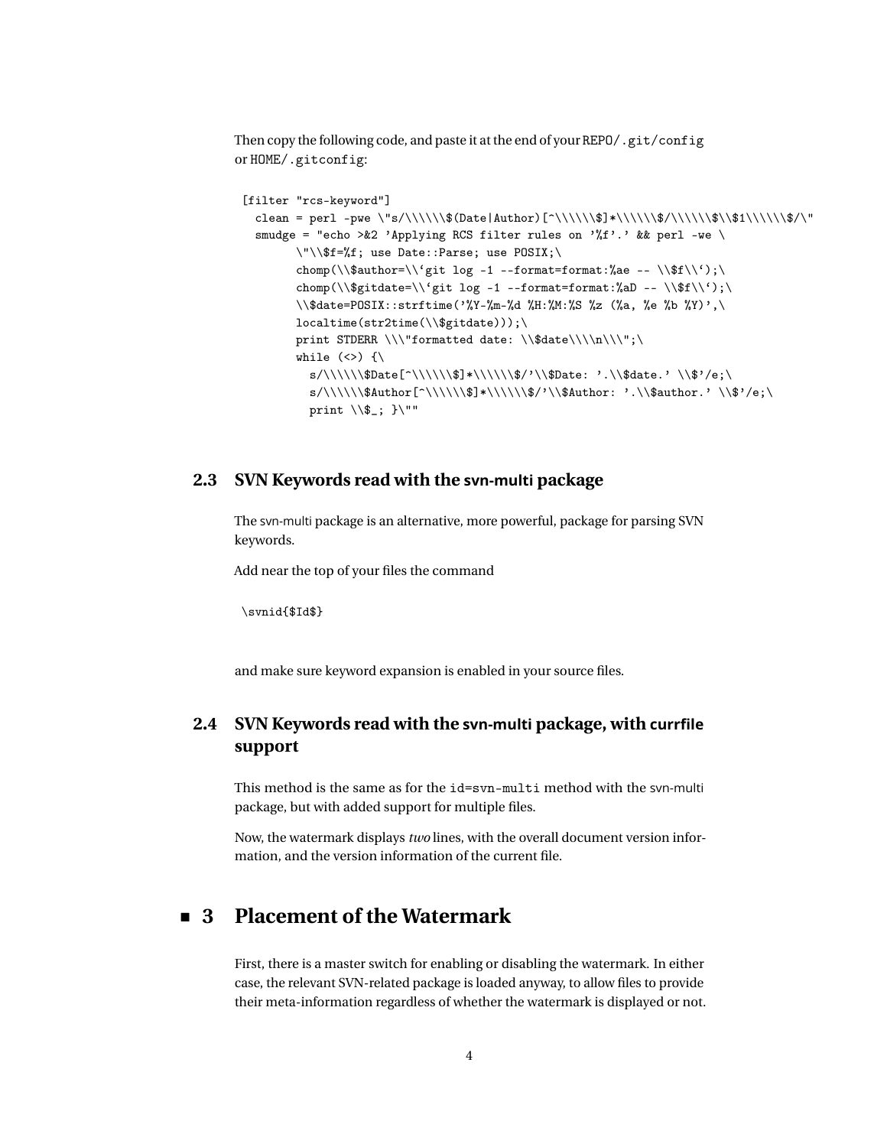<span id="page-3-3"></span>Then copy the following code, and paste it at the end of your REPO/.git/config or HOME/.gitconfig:

```
[filter "rcs-keyword"]
 clean = perl -pwe \"s/\\\\\\$(Date|Author)[^\\\\\$]*\\\\\\$/\\\\\\$\\$1\\\\\\$/\"
 smudge = "echo > &2 'Applying RCS filter rules on '%f'.' && perl -we \
       \"\\$f=%f; use Date::Parse; use POSIX;\
       chomp(\\$author=\\'git log -1 --format=format:%ae -- \\$f\\');\
       chomp(\\$gitdate=\\'git log -1 --format=format:%aD -- \\$f\\');\
       \\$date=POSIX::strftime('%Y-%m-%d %H:%M:%S %z (%a, %e %b %Y)',\
       localtime(str2time(\\$gitdate)));\
       print STDERR \\\"formatted date: \\$date\\\\n\\\";\
       while (\langle \rangle) {\
         s/\\\\\\\$\$Date[^\\\\\\\\$\$]*/\\\\\\$\$/\\$\$)\label{eq:2} $$s/\\\\\\\print \S.; }\"
```
### <span id="page-3-0"></span>**2.3 SVN Keywords read with the svn-multi package**

The svn-multi package is an alternative, more powerful, package for parsing SVN keywords.

Add near the top of your files the command

\svnid{\$Id\$}

<span id="page-3-1"></span>and make sure keyword expansion is enabled in your source files.

## **2.4 SVN Keywords read with the svn-multi package, with currfile support**

This method is the same as for the id=svn-multi method with the svn-multi package, but with added support for multiple files.

<span id="page-3-2"></span>Now, the watermark displays *two* lines, with the overall document version information, and the version information of the current file.

## **3 Placement of the Watermark**

First, there is a master switch for enabling or disabling the watermark. In either case, the relevant SVN-related package is loaded anyway, to allow files to provide their meta-information regardless of whether the watermark is displayed or not.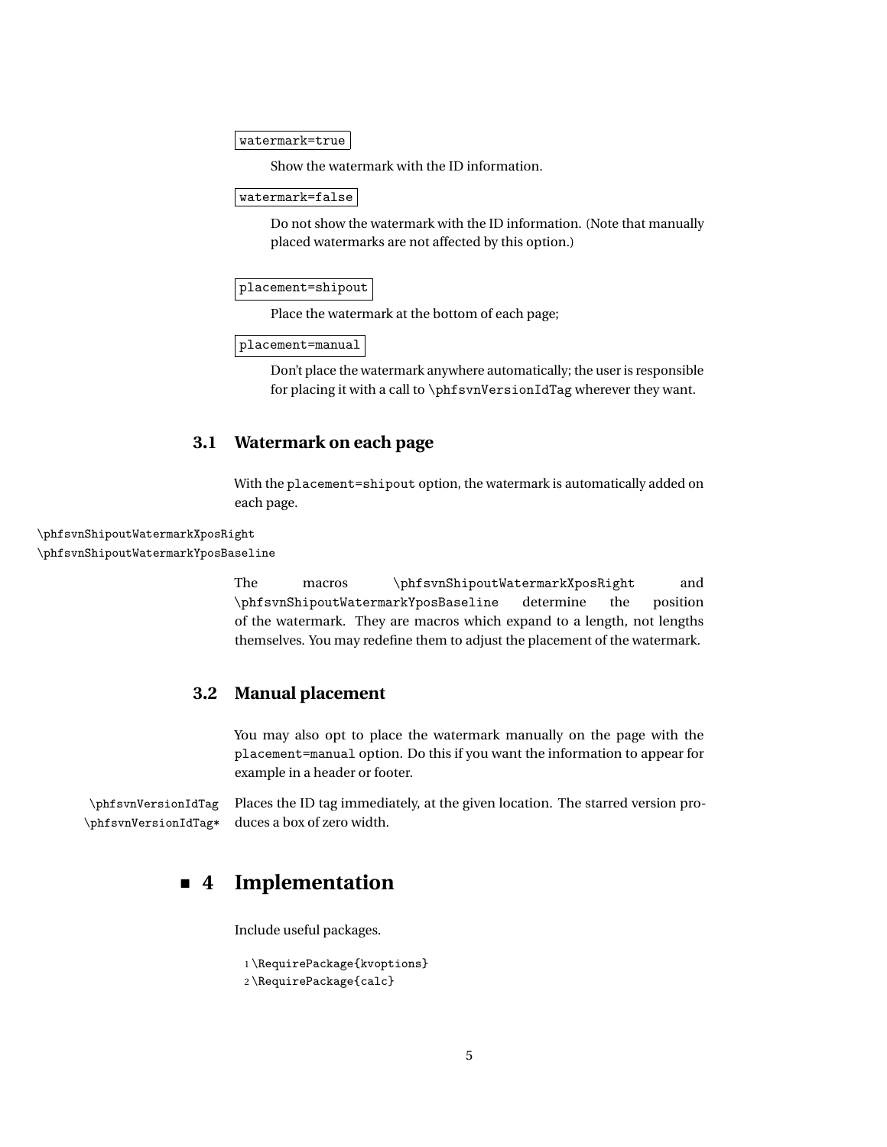#### <span id="page-4-3"></span>watermark=true

Show the watermark with the ID information.

watermark=false

Do not show the watermark with the ID information. (Note that manually placed watermarks are not affected by this option.)

placement=shipout

Place the watermark at the bottom of each page;

placement=manual

Don't place the watermark anywhere automatically; the user is responsible for placing it with a call to \phfsvnVersionIdTag wherever they want.

### <span id="page-4-0"></span>**3.1 Watermark on each page**

<span id="page-4-4"></span>With the placement=shipout option, the watermark is automatically added on each page.

\phfsvnShipoutWatermarkXposRight \phfsvnShipoutWatermarkYposBaseline

> The macros \phfsvnShipoutWatermarkXposRight and \phfsvnShipoutWatermarkYposBaseline determine the position of the watermark. They are macros which expand to a length, not lengths themselves. You may redefine them to adjust the placement of the watermark.

### <span id="page-4-1"></span>**3.2 Manual placement**

<span id="page-4-5"></span>You may also opt to place the watermark manually on the page with the placement=manual option. Do this if you want the information to appear for example in a header or footer.

\phfsvnVersionIdTag Places the ID tag immediately, at the given location. The starred version pro- \phfsvnVersionIdTag\* duces a box of zero width.

## <span id="page-4-2"></span>**4 Implementation**

Include useful packages.

```
1 \RequirePackage{kvoptions}
2 \RequirePackage{calc}
```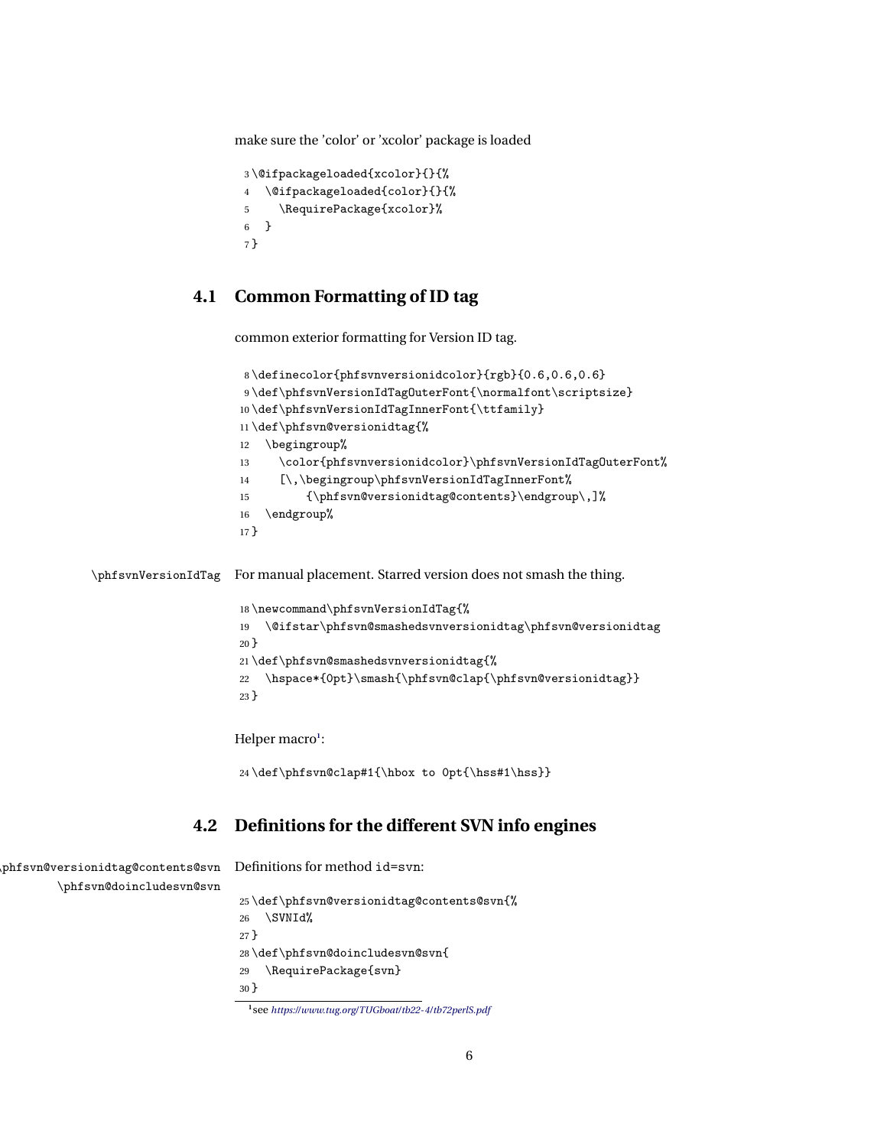make sure the 'color' or 'xcolor' package is loaded

```
3 \@ifpackageloaded{xcolor}{}{%
4 \@ifpackageloaded{color}{}{%
5 \RequirePackage{xcolor}%
6 }
7 }
```
### <span id="page-5-0"></span>**4.1 Common Formatting of ID tag**

<span id="page-5-20"></span><span id="page-5-17"></span><span id="page-5-14"></span><span id="page-5-11"></span><span id="page-5-10"></span><span id="page-5-9"></span><span id="page-5-8"></span><span id="page-5-4"></span><span id="page-5-3"></span>common exterior formatting for Version ID tag.

```
8 \definecolor{phfsvnversionidcolor}{rgb}{0.6,0.6,0.6}
                      9 \def\phfsvnVersionIdTagOuterFont{\normalfont\scriptsize}
                      10 \def\phfsvnVersionIdTagInnerFont{\ttfamily}
                      11 \def\phfsvn@versionidtag{%
                      12 \begingroup%
                      13 \color{phfsvnversionidcolor}\phfsvnVersionIdTagOuterFont%
                      14 [\,\begingroup\phfsvnVersionIdTagInnerFont%
                      15 {\phfsvn@versionidtag@contents}\endgroup\,]%
                      16 \endgroup%
                      17 }
\phfsvnVersionIdTag For manual placement. Starred version does not smash the thing.
                      18 \newcommand\phfsvnVersionIdTag{%
                      19 \@ifstar\phfsvn@smashedsvnversionidtag\phfsvn@versionidtag
                      20 }
                      21 \def\phfsvn@smashedsvnversionidtag{%
                     22 \hspace*{0pt}\smash{\phfsvn@clap{\phfsvn@versionidtag}}
                      23 }
                     Helper macro1
:
                      24 \def\phfsvn@clap#1{\hbox to 0pt{\hss#1\hss}}
```
### <span id="page-5-16"></span><span id="page-5-13"></span><span id="page-5-12"></span><span id="page-5-7"></span><span id="page-5-1"></span>**4.2 Definitions for the different SVN info engines**

<span id="page-5-18"></span><span id="page-5-15"></span>

| phfsvn@versionidtag@contents@svn  Definitions for method id=svn: |                                                            |  |
|------------------------------------------------------------------|------------------------------------------------------------|--|
| \phfsvn@doincludesvn@svn                                         |                                                            |  |
|                                                                  | 25\def\phfsvn@versionidtag@contents@svn{%<br>\SVNId%<br>26 |  |
|                                                                  | 27 <sup>1</sup>                                            |  |
|                                                                  | 28\def\phfsvn@doincludesvn@svn{                            |  |
|                                                                  | \RequirePackage{svn}<br>29                                 |  |

<span id="page-5-23"></span><span id="page-5-22"></span>}

<span id="page-5-2"></span>see *<https://www.tug.org/TUGboat/tb22-4/tb72perlS.pdf>*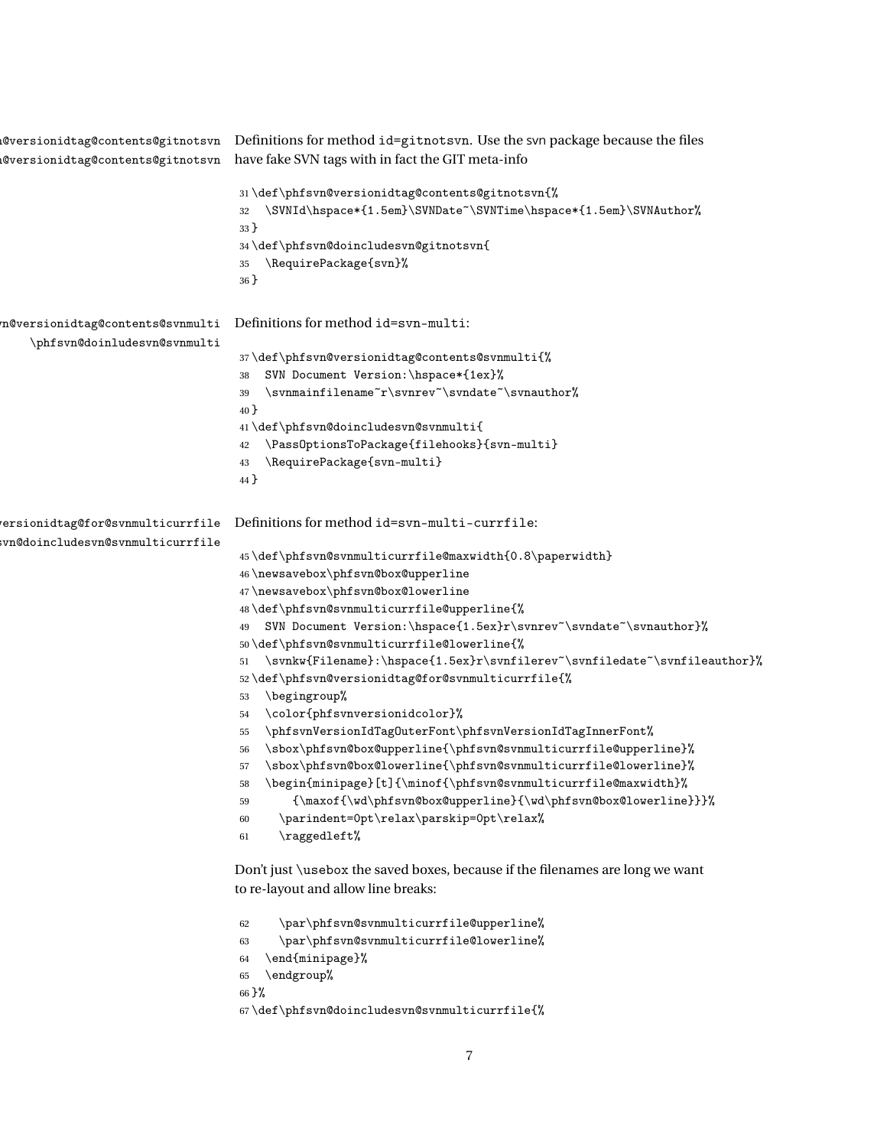<span id="page-6-34"></span><span id="page-6-33"></span><span id="page-6-32"></span><span id="page-6-29"></span><span id="page-6-28"></span><span id="page-6-27"></span><span id="page-6-26"></span><span id="page-6-23"></span><span id="page-6-22"></span><span id="page-6-21"></span><span id="page-6-20"></span><span id="page-6-17"></span><span id="page-6-12"></span><span id="page-6-6"></span><span id="page-6-5"></span>

|                                                                       | @versionidtag@contents@gitnotsvn Definitions for method id=gitnotsvn. Use the svn package because the files<br>@versionidtag@contents@gitnotsvn have fake SVN tags with in fact the GIT meta-info                                                                                                                                                                                                                                                                                                                                                                                                                                                                                                                                                                                                                                                                                                                                                                                                                                                                                                                                                                                                                                                                                                                                                                                                                                                                                                                                     |
|-----------------------------------------------------------------------|---------------------------------------------------------------------------------------------------------------------------------------------------------------------------------------------------------------------------------------------------------------------------------------------------------------------------------------------------------------------------------------------------------------------------------------------------------------------------------------------------------------------------------------------------------------------------------------------------------------------------------------------------------------------------------------------------------------------------------------------------------------------------------------------------------------------------------------------------------------------------------------------------------------------------------------------------------------------------------------------------------------------------------------------------------------------------------------------------------------------------------------------------------------------------------------------------------------------------------------------------------------------------------------------------------------------------------------------------------------------------------------------------------------------------------------------------------------------------------------------------------------------------------------|
|                                                                       | 31\def\phfsvn@versionidtag@contents@gitnotsvn{%<br>\SVNId\hspace*{1.5em}\SVNDate~\SVNTime\hspace*{1.5em}\SVNAuthor%<br>32<br>$33$ }<br>34\def\phfsvn@doincludesvn@gitnotsvn{<br>\RequirePackage{svn}%<br>35<br>$36$ }                                                                                                                                                                                                                                                                                                                                                                                                                                                                                                                                                                                                                                                                                                                                                                                                                                                                                                                                                                                                                                                                                                                                                                                                                                                                                                                 |
| n@versionidtag@contents@svnmulti<br>\phfsvn@doinludesvn@svnmulti      | Definitions for method id=svn-multi:<br>37\def\phfsvn@versionidtag@contents@svnmulti{%<br>SVN Document Version: \hspace*{1ex}%<br>38<br>$\verb \svnmainfilename^r\svnrev"\svndate"\svnauthor"\@$<br>39<br>40 }<br>$41 \def \phi\simeq\def\bf{sum@doincludesvn@svnmulti\q$<br>\PassOptionsToPackage{filehooks}{svn-multi}<br>42<br>\RequirePackage{svn-multi}<br>43<br>44 }                                                                                                                                                                                                                                                                                                                                                                                                                                                                                                                                                                                                                                                                                                                                                                                                                                                                                                                                                                                                                                                                                                                                                            |
| ersionidtag@for@svnmulticurrfile<br>svn@doincludesvn@svnmulticurrfile | Definitions for method id=svn-multi-currfile:<br>45\def\phfsvn@svnmulticurrfile@maxwidth{0.8\paperwidth}<br>46\newsavebox\phfsvn@box@upperline<br>47\newsavebox\phfsvn@box@lowerline<br>48\def\phfsvn@svnmulticurrfile@upperline{%<br>SVN Document Version:\hspace{1.5ex}r\svnrev~\svndate~\svnauthor}%<br>49<br>50\def\phfsvn@svnmulticurrfile@lowerline{%<br>\svnkw{Filename}:\hspace{1.5ex}r\svnfilerev~\svnfiledate~\svnfileauthor}%<br>51<br>52\def\phfsvn@versionidtag@for@svnmulticurrfile{%<br>\begingroup%<br>53<br>\color{phfsvnversionidcolor}%<br>54<br>\phfsvnVersionIdTagOuterFont\phfsvnVersionIdTagInnerFont%<br>55<br>\sbox\phfsvn@box@upperline{\phfsvn@svnmulticurrfile@upperline}%<br>56<br>$\verb \sbox  \phfsvn@box@lowerline{} \phfsvn@sumulticurrfile@lowerline}  \verb  \sbox  \phfsvn@summulticurrfile@lowerline  \verb  \sbox  \emph{sbox}  \emph{sbox}  \emph{sbox}  \emph{sbox}  \emph{sbox}  \emph{sbox}  \emph{sbox}  \emph{sbox}  \emph{sbox}  \emph{sbox}  \emph{sbox}  \emph{sbox}  \emph{sbox}  \emph{sbox}  \emph{sbox}  \emph{sbox}  \emph{sbox}  \emph{sbox}  \emph{sbox}  \emph{sbox}  \emph{sbox}  \emph{sbox}  \emph{sbox}  \emph{sbox}  \emph{sbox}  \emph{sbox}  \emph{sbox}  \em$<br>57<br>\begin{minipage}[t]{\minof{\phfsvn@svnmulticurrfile@maxwidth}%<br>{\maxof{\wd\phfsvn@box@upperline}{\wd\phfsvn@box@lowerline}}}%<br>59<br>\parindent=0pt\relax\parskip=0pt\relax%<br>60<br>\raggedleft%<br>61<br>Don't just \usebox the saved boxes, because if the filenames are long we want |
|                                                                       | to re-layout and allow line breaks:<br>\par\phfsvn@svnmulticurrfile@upperline%<br>62<br>$\Box$                                                                                                                                                                                                                                                                                                                                                                                                                                                                                                                                                                                                                                                                                                                                                                                                                                                                                                                                                                                                                                                                                                                                                                                                                                                                                                                                                                                                                                        |

```
63 \par\phfsvn@svnmulticurrfile@lowerline%
64 \end{minipage}%
65 \endgroup%
66 }%
67 \def\phi\label{thm:1}
```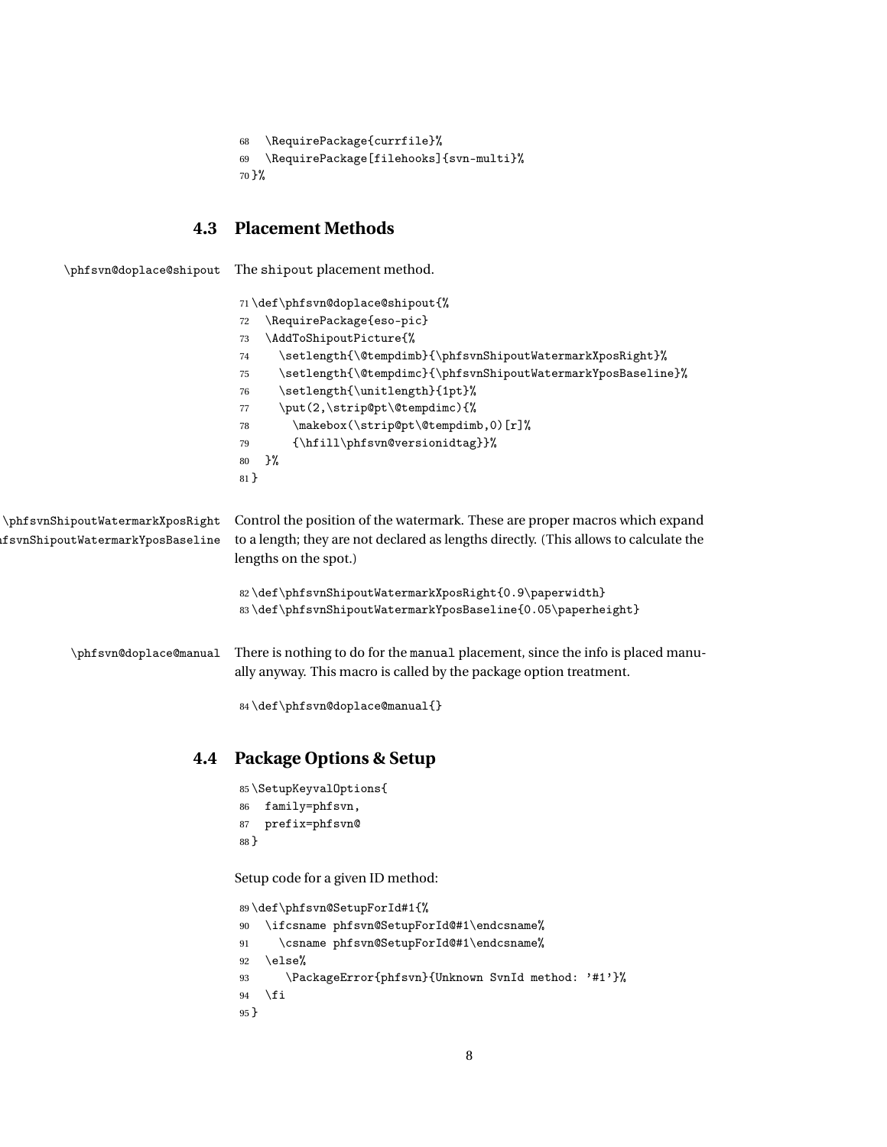```
68 \RequirePackage{currfile}%
69 \RequirePackage[filehooks]{svn-multi}%
70 }%
```
## <span id="page-7-21"></span><span id="page-7-20"></span><span id="page-7-12"></span><span id="page-7-9"></span><span id="page-7-6"></span><span id="page-7-5"></span><span id="page-7-4"></span><span id="page-7-3"></span><span id="page-7-2"></span><span id="page-7-0"></span>**4.3 Placement Methods**

<span id="page-7-17"></span><span id="page-7-16"></span><span id="page-7-14"></span>

| \phfsvn@doplace@shipout                                              | The shipout placement method.                                                                                                                                                                                                                                                                                                                                                                                                       |  |  |
|----------------------------------------------------------------------|-------------------------------------------------------------------------------------------------------------------------------------------------------------------------------------------------------------------------------------------------------------------------------------------------------------------------------------------------------------------------------------------------------------------------------------|--|--|
|                                                                      | 71\def\phfsvn@doplace@shipout{%<br>\RequirePackage{eso-pic}<br>72<br>\AddToShipoutPicture{%<br>73<br>\setlength{\@tempdimb}{\phfsvnShipoutWatermarkXposRight}%<br>74<br>\setlength{\@tempdimc}{\phfsvnShipoutWatermarkYposBaseline}%<br>75<br>\setlength{\unitlength}{1pt}%<br>76<br>\put(2,\strip@pt\@tempdimc){%<br>77<br>\makebox(\strip@pt\@tempdimb,0)[r]%<br>78<br>{\hfill\phfsvn@versionidtag}}%<br>79<br>}%<br>80<br>$81$ } |  |  |
| \phfsvnShipoutWatermarkXposRight<br>fsvnShipoutWatermarkYposBaseline | Control the position of the watermark. These are proper macros which expand<br>to a length; they are not declared as lengths directly. (This allows to calculate the<br>lengths on the spot.)                                                                                                                                                                                                                                       |  |  |
|                                                                      | 82\def\phfsvnShipoutWatermarkXposRight{0.9\paperwidth}<br>83\def\phfsvnShipoutWatermarkYposBaseline{0.05\paperheight}                                                                                                                                                                                                                                                                                                               |  |  |
| \phfsvn@doplace@manual                                               | There is nothing to do for the manual placement, since the info is placed manu-<br>ally anyway. This macro is called by the package option treatment.<br>84\def\phfsvn@doplace@manual{}                                                                                                                                                                                                                                             |  |  |
| 4.4                                                                  | <b>Package Options &amp; Setup</b>                                                                                                                                                                                                                                                                                                                                                                                                  |  |  |
|                                                                      | 85\SetupKeyvalOptions{<br>family=phfsvn,<br>86<br>prefix=phfsvn@<br>87<br>88 }                                                                                                                                                                                                                                                                                                                                                      |  |  |
|                                                                      | Setup code for a given ID method:                                                                                                                                                                                                                                                                                                                                                                                                   |  |  |
|                                                                      | 89\def\phfsvn@SetupForId#1{%<br>\ifcsname phfsvn@SetupForId@#1\endcsname%<br>90<br>\csname phfsvn@SetupForId@#1\endcsname%<br>91<br>\else%<br>92                                                                                                                                                                                                                                                                                    |  |  |

<span id="page-7-22"></span><span id="page-7-15"></span><span id="page-7-13"></span><span id="page-7-11"></span><span id="page-7-10"></span><span id="page-7-8"></span><span id="page-7-7"></span><span id="page-7-1"></span> \PackageError{phfsvn}{Unknown SvnId method: '#1'}% 94 \fi

}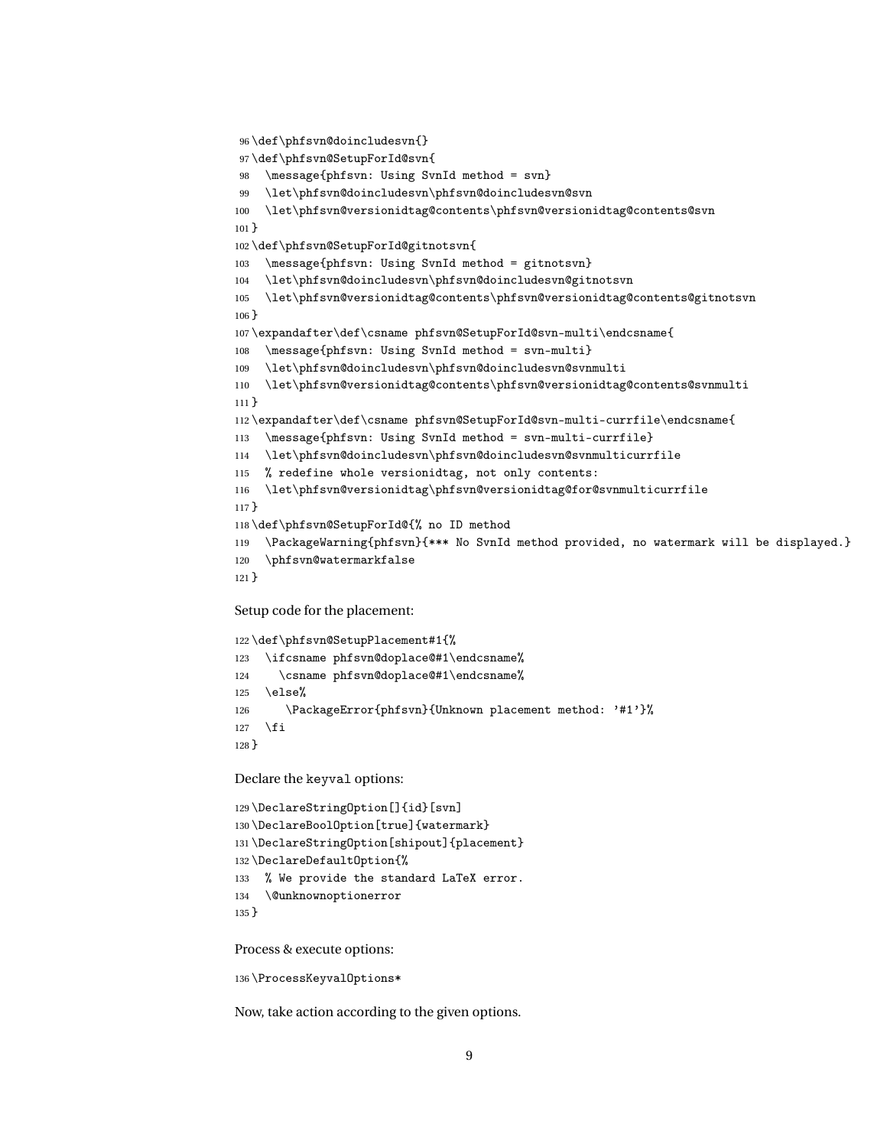```
96 \def\phfsvn@doincludesvn{}
97 \def\phfsvn@SetupForId@svn{
98 \message{phfsvn: Using SvnId method = svn}
99 \let\phfsvn@doincludesvn\phfsvn@doincludesvn@svn
100 \let\phfsvn@versionidtag@contents\phfsvn@versionidtag@contents@svn
101 }
102 \def\phfsvn@SetupForId@gitnotsvn{
103 \message{phfsvn: Using SvnId method = gitnotsvn}
104 \let\phfsvn@doincludesvn\phfsvn@doincludesvn@gitnotsvn
105 \let\phfsvn@versionidtag@contents\phfsvn@versionidtag@contents@gitnotsvn
106 }
107 \expandafter\def\csname phfsvn@SetupForId@svn-multi\endcsname{
108 \message{phfsvn: Using SvnId method = svn-multi}
109 \let\phfsvn@doincludesvn\phfsvn@doincludesvn@svnmulti
110 \let\phfsvn@versionidtag@contents\phfsvn@versionidtag@contents@svnmulti
111 }
112 \expandafter\def\csname phfsvn@SetupForId@svn-multi-currfile\endcsname{
113 \message{phfsvn: Using SvnId method = svn-multi-currfile}
114 \let\phfsvn@doincludesvn\phfsvn@doincludesvn@svnmulticurrfile
115 % redefine whole versionidtag, not only contents:
116 \let\phfsvn@versionidtag\phfsvn@versionidtag@for@svnmulticurrfile
117 }
118 \def\phfsvn@SetupForId@{% no ID method
119 \PackageWarning{phfsvn}{*** No SvnId method provided, no watermark will be displayed.}
120 \phfsvn@watermarkfalse
121 }
```
<span id="page-8-28"></span><span id="page-8-24"></span><span id="page-8-22"></span><span id="page-8-20"></span><span id="page-8-16"></span><span id="page-8-15"></span><span id="page-8-14"></span><span id="page-8-2"></span>Setup code for the placement:

```
122 \def\phfsvn@SetupPlacement#1{%
123 \ifcsname phfsvn@doplace@#1\endcsname%
124 \csname phfsvn@doplace@#1\endcsname%
125 \else%
126 \PackageError{phfsvn}{Unknown placement method: '#1'}%
127 \fi
128 }
```
Declare the keyval options:

```
129 \DeclareStringOption[]{id}[svn]
130 \DeclareBoolOption[true]{watermark}
131 \DeclareStringOption[shipout]{placement}
132 \DeclareDefaultOption{%
133 % We provide the standard LaTeX error.
134 \@unknownoptionerror
135 }
```
<span id="page-8-0"></span>Process & execute options:

<span id="page-8-29"></span>\ProcessKeyvalOptions\*

Now, take action according to the given options.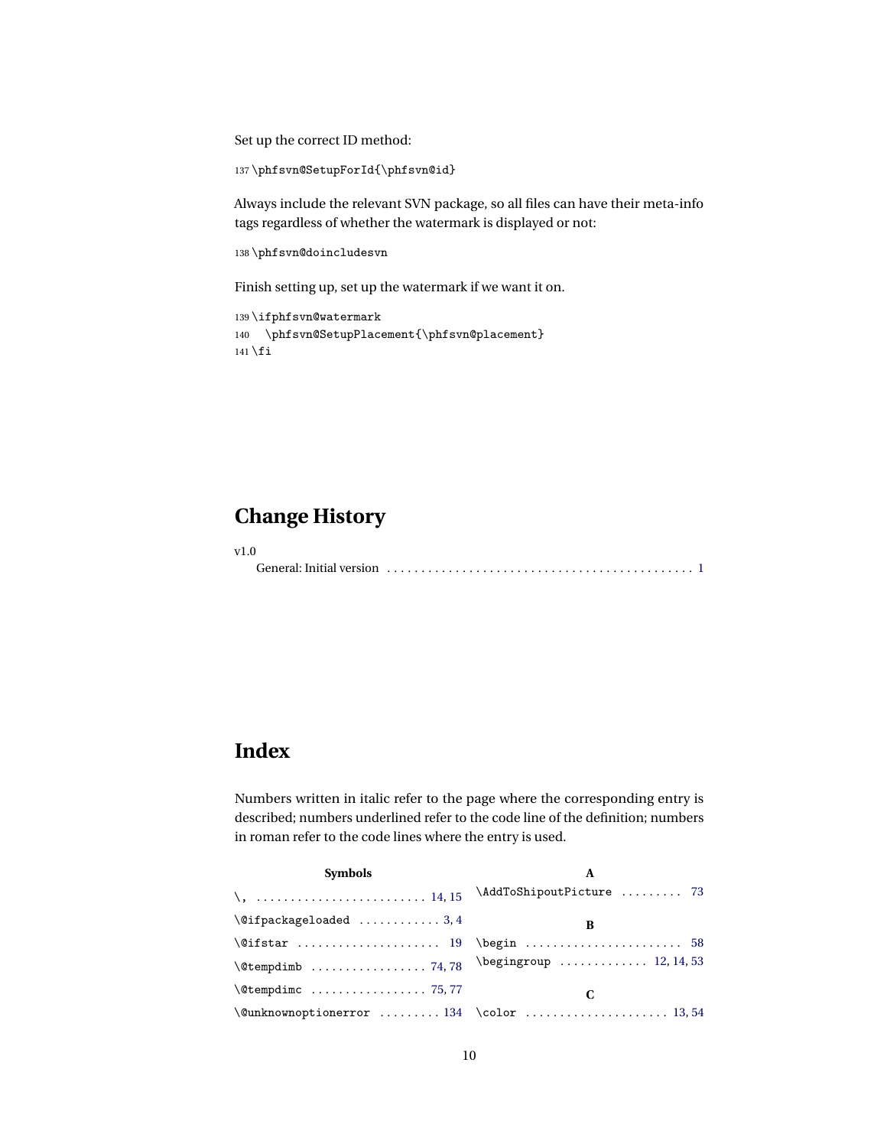Set up the correct ID method:

```
137 \phfsvn@SetupForId{\phfsvn@id}
```
Always include the relevant SVN package, so all files can have their meta-info tags regardless of whether the watermark is displayed or not:

```
138 \phfsvn@doincludesvn
```
Finish setting up, set up the watermark if we want it on.

```
139 \ifphfsvn@watermark
140 \phfsvn@SetupPlacement{\phfsvn@placement}
141 \ifmmode\big\vert\big\} 141
```
# <span id="page-9-0"></span>**Change History**

v1.0

General: Initial version . . . . . . . . . . . . . . . . . . . . . . . . . . . . . . . . . . . . . . . . . . . . . [1](#page-0-1)

# <span id="page-9-1"></span>**Index**

Numbers written in italic refer to the page where the corresponding entry is described; numbers underlined refer to the code line of the definition; numbers in roman refer to the code lines where the entry is used.

| <b>Symbols</b>                  | A                        |  |
|---------------------------------|--------------------------|--|
| $\lambda$ ,  14, 15             | \AddToShipoutPicture  73 |  |
| $\left\{ \alpha k \right\}$ 3,4 | B                        |  |
|                                 |                          |  |
|                                 |                          |  |
| $\setminus$ Ctempdimc  75,77    |                          |  |
|                                 |                          |  |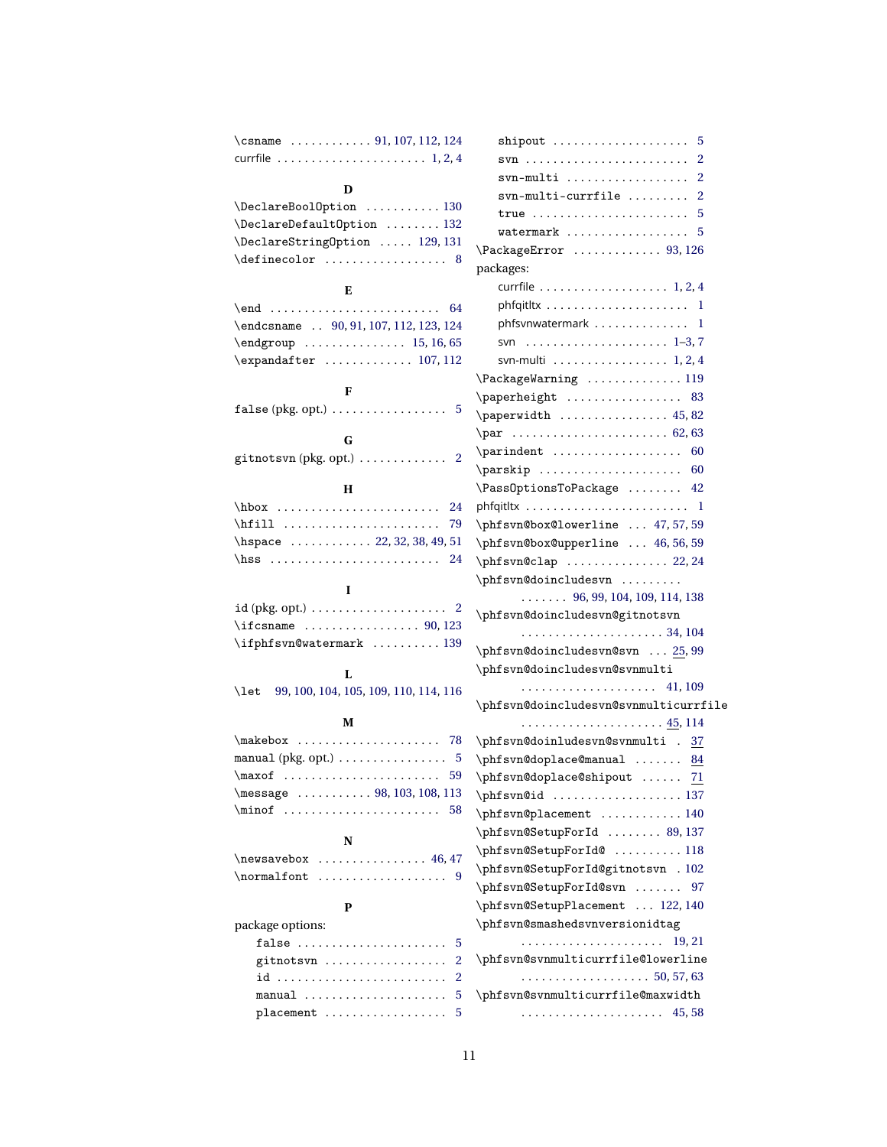| \csname $\ldots \ldots \ldots \ldots \qquad 91, 107, 112, 124$      | $\mathsf{shipout}$<br>5                                                                 |
|---------------------------------------------------------------------|-----------------------------------------------------------------------------------------|
| currfile $\ldots \ldots \ldots \ldots \ldots \ldots \ldots 1, 2, 4$ | $\texttt{svn}\texttt{}\dots\texttt{}\dots\texttt{}\dots\texttt{}$<br>2                  |
|                                                                     | svn-multi<br>2                                                                          |
| D                                                                   | $syn-multi-currfile$<br>$\mathbf{2}$                                                    |
| \DeclareBoolOption  130                                             | true $\ldots \ldots \ldots \ldots \ldots \ldots \ldots 5$                               |
| \DeclareDefault0ption  132                                          | watermark $\ldots \ldots \ldots \ldots \ldots 5$                                        |
| \DeclareStringOption  129, 131                                      | $\Pack$ ackageError  93, 126                                                            |
| $\definecolor \dots 8$                                              | packages:                                                                               |
| Е                                                                   | currfile $\ldots \ldots \ldots \ldots \ldots \ldots$ 1, 2, 4                            |
|                                                                     |                                                                                         |
| \endcsname  90, 91, 107, 112, 123, 124                              | phfsvnwatermark 1                                                                       |
|                                                                     |                                                                                         |
| $\expandafter$ 107, 112                                             | svn-multi $\ldots \ldots \ldots \ldots \ldots$ 1, 2, 4                                  |
|                                                                     | $\Pack$ PackageWarning 119                                                              |
| F                                                                   | $\n\begin{array}{ccc}\n\text{paperheight} & \ldots & \ldots & \ldots & 83\n\end{array}$ |
| $false (pkg. opt.) \dots \dots \dots \dots \dots$<br>5              |                                                                                         |
|                                                                     | $\pmb{\text{paperwidth}} \dots \dots \dots \dots \dots \ 45,82$                         |
| G                                                                   | \par  62,63                                                                             |
| 2<br>$g$ itnotsvn (pkg. opt.) $\dots\dots\dots\dots$                | $\partial$ .<br>60                                                                      |
|                                                                     | 60                                                                                      |
| Н                                                                   | \Pass0ptionsToPackage  42                                                               |
| $hbox \ldots \ldots \ldots$<br>24                                   |                                                                                         |
| \hfill<br>79                                                        | \phfsvn@box@lowerline  47,57,59                                                         |
| \hspace  22, 32, 38, 49, 51                                         | \phfsvn@box@upperline  46,56,59                                                         |
| \hss<br>24                                                          | $\phi$ svn@clap  22,24                                                                  |
| I                                                                   | \phfsvn@doincludesvn                                                                    |
|                                                                     | $\ldots \ldots$ 96, 99, 104, 109, 114, 138                                              |
| $\frac{90,123}{\text{csname}}$                                      | \phfsvn@doincludesvn@gitnotsvn                                                          |
| \ifphfsvn@watermark  139                                            |                                                                                         |
|                                                                     | \phfsvn@doincludesvn@svn  25,99                                                         |
| L                                                                   | \phfsvn@doincludesvn@svnmulti                                                           |
| 99, 100, 104, 105, 109, 110, 114, 116<br>\let                       |                                                                                         |
|                                                                     | \phfsvn@doincludesvn@svnmulticurrfile                                                   |
| М                                                                   |                                                                                         |
|                                                                     | \phfsvn@doinludesvn@svnmulti . 37                                                       |
| manual (pkg. opt.) $\ldots \ldots \ldots \ldots 5$                  | \phfsvn@doplace@manual  84                                                              |
| $\max of$<br>-59                                                    | \phfsvn@doplace@shipout<br>71                                                           |
| \message  98, 103, 108, 113                                         | \phfsvn@id  137                                                                         |
| $\min of$<br>58                                                     | \phfsvn@placement  140                                                                  |
|                                                                     | \phfsvn@SetupForId  89, 137                                                             |
| N                                                                   | \phfsvn@SetupForId@  118                                                                |
|                                                                     | \phfsvn@SetupForId@gitnotsvn . 102                                                      |
|                                                                     | \phfsvn@SetupForId@svn  97                                                              |
| P                                                                   | \phfsvn@SetupPlacement  122, 140                                                        |
| package options:                                                    | \phfsvn@smashedsvnversionidtag                                                          |
| false<br>5                                                          |                                                                                         |
| 2<br>gitnots $v_1, \ldots, \ldots, \ldots, \ldots$                  | \phfsvn@svnmulticurrfile@lowerline                                                      |
| $\overline{2}$<br>id                                                | . 50, 57, 63                                                                            |
| 5                                                                   | \phfsvn@svnmulticurrfile@maxwidth                                                       |
| placement<br>5                                                      |                                                                                         |
|                                                                     |                                                                                         |